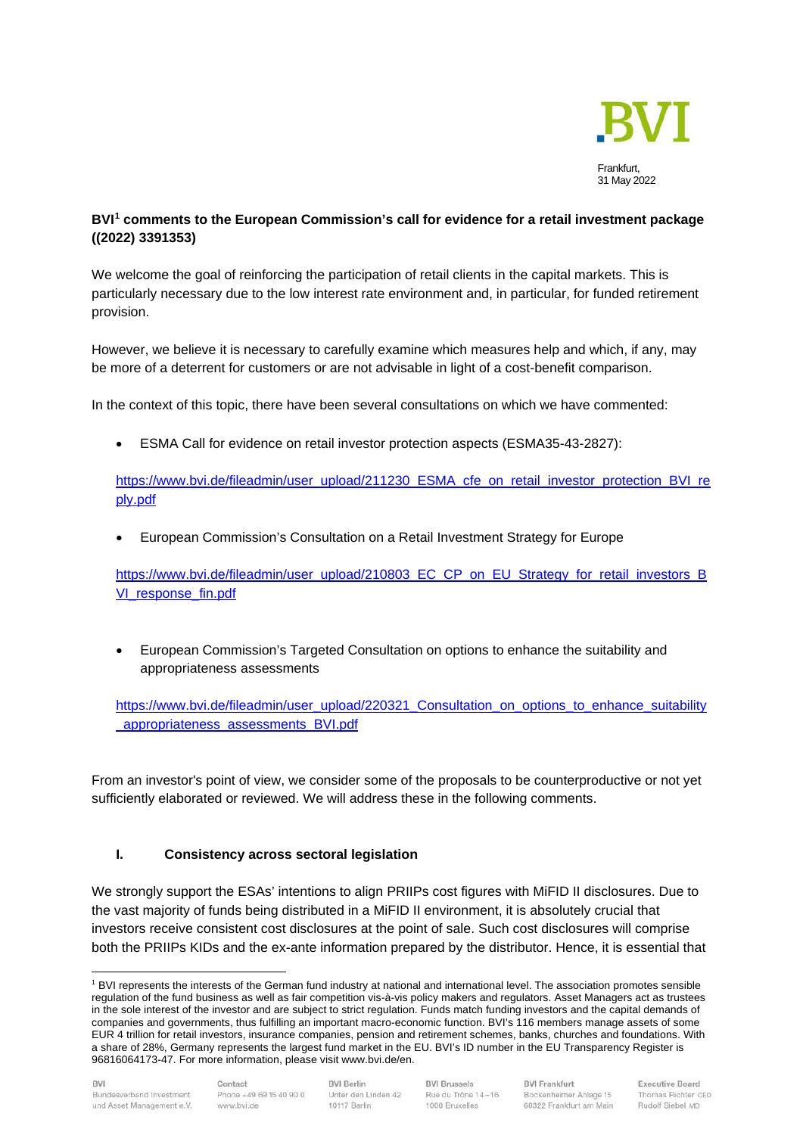

# **BVI[1](#page-0-0) comments to the European Commission's call for evidence for a retail investment package ((2022) 3391353)**

We welcome the goal of reinforcing the participation of retail clients in the capital markets. This is particularly necessary due to the low interest rate environment and, in particular, for funded retirement provision.

However, we believe it is necessary to carefully examine which measures help and which, if any, may be more of a deterrent for customers or are not advisable in light of a cost-benefit comparison.

In the context of this topic, there have been several consultations on which we have commented:

• ESMA Call for evidence on retail investor protection aspects (ESMA35-43-2827):

[https://www.bvi.de/fileadmin/user\\_upload/211230\\_ESMA\\_cfe\\_on\\_retail\\_investor\\_protection\\_BVI\\_re](https://www.bvi.de/fileadmin/user_upload/211230_ESMA_cfe_on_retail_investor_protection_BVI_reply.pdf) [ply.pdf](https://www.bvi.de/fileadmin/user_upload/211230_ESMA_cfe_on_retail_investor_protection_BVI_reply.pdf)

• European Commission's Consultation on a Retail Investment Strategy for Europe

[https://www.bvi.de/fileadmin/user\\_upload/210803\\_EC\\_CP\\_on\\_EU\\_Strategy\\_for\\_retail\\_investors\\_B](https://www.bvi.de/fileadmin/user_upload/210803_EC_CP_on_EU_Strategy_for_retail_investors_BVI_response_fin.pdf) [VI\\_response\\_fin.pdf](https://www.bvi.de/fileadmin/user_upload/210803_EC_CP_on_EU_Strategy_for_retail_investors_BVI_response_fin.pdf)

• European Commission's Targeted Consultation on options to enhance the suitability and appropriateness assessments

[https://www.bvi.de/fileadmin/user\\_upload/220321\\_Consultation\\_on\\_options\\_to\\_enhance\\_suitability](https://www.bvi.de/fileadmin/user_upload/220321_Consultation_on_options_to_enhance_suitability_appropriateness_assessments_BVI.pdf) [\\_appropriateness\\_assessments\\_BVI.pdf](https://www.bvi.de/fileadmin/user_upload/220321_Consultation_on_options_to_enhance_suitability_appropriateness_assessments_BVI.pdf)

From an investor's point of view, we consider some of the proposals to be counterproductive or not yet sufficiently elaborated or reviewed. We will address these in the following comments.

## **I. Consistency across sectoral legislation**

We strongly support the ESAs' intentions to align PRIIPs cost figures with MiFID II disclosures. Due to the vast majority of funds being distributed in a MiFID II environment, it is absolutely crucial that investors receive consistent cost disclosures at the point of sale. Such cost disclosures will comprise both the PRIIPs KIDs and the ex-ante information prepared by the distributor. Hence, it is essential that

<span id="page-0-0"></span><sup>1</sup> BVI represents the interests of the German fund industry at national and international level. The association promotes sensible regulation of the fund business as well as fair competition vis-à-vis policy makers and regulators. Asset Managers act as trustees in the sole interest of the investor and are subject to strict regulation. Funds match funding investors and the capital demands of companies and governments, thus fulfilling an important macro-economic function. BVI's 116 members manage assets of some EUR 4 trillion for retail investors, insurance companies, pension and retirement schemes, banks, churches and foundations. With a share of 28%, Germany represents the largest fund market in the EU. BVI's ID number in the EU Transparency Register is 96816064173-47. For more information, please visit www.bvi.de/en.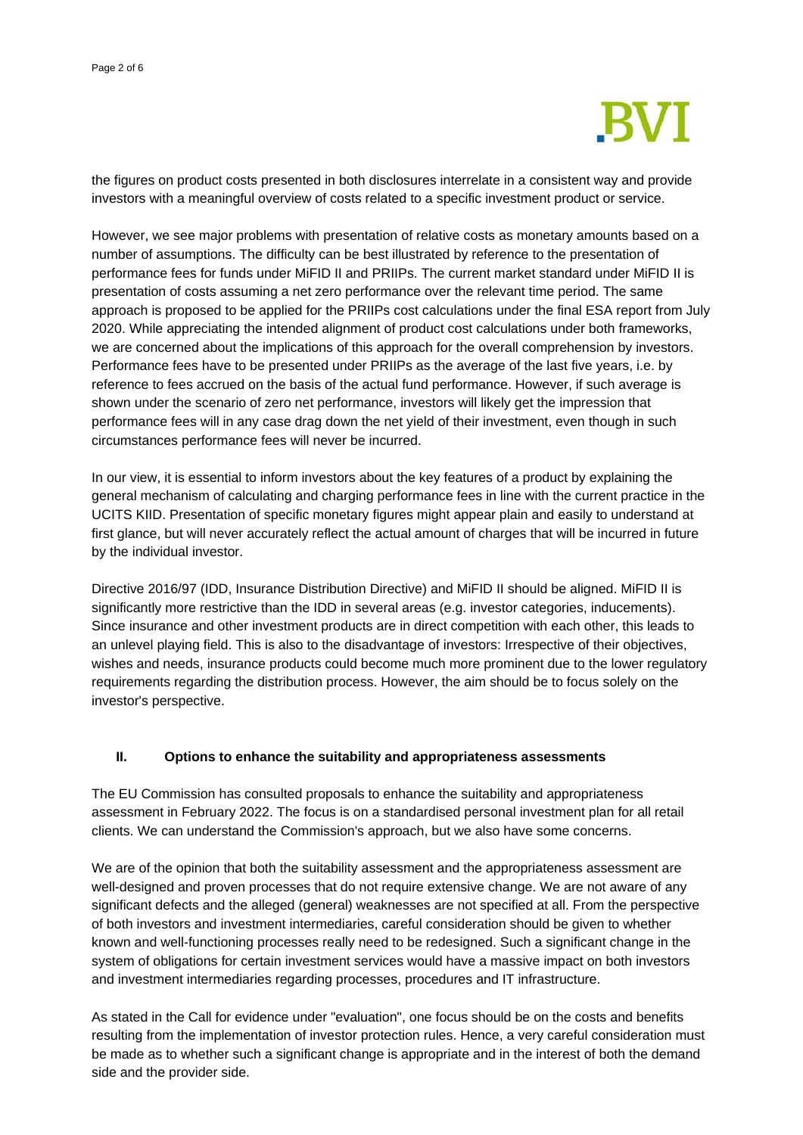

the figures on product costs presented in both disclosures interrelate in a consistent way and provide investors with a meaningful overview of costs related to a specific investment product or service.

However, we see major problems with presentation of relative costs as monetary amounts based on a number of assumptions. The difficulty can be best illustrated by reference to the presentation of performance fees for funds under MiFID II and PRIIPs. The current market standard under MiFID II is presentation of costs assuming a net zero performance over the relevant time period. The same approach is proposed to be applied for the PRIIPs cost calculations under the final ESA report from July 2020. While appreciating the intended alignment of product cost calculations under both frameworks, we are concerned about the implications of this approach for the overall comprehension by investors. Performance fees have to be presented under PRIIPs as the average of the last five years, i.e. by reference to fees accrued on the basis of the actual fund performance. However, if such average is shown under the scenario of zero net performance, investors will likely get the impression that performance fees will in any case drag down the net yield of their investment, even though in such circumstances performance fees will never be incurred.

In our view, it is essential to inform investors about the key features of a product by explaining the general mechanism of calculating and charging performance fees in line with the current practice in the UCITS KIID. Presentation of specific monetary figures might appear plain and easily to understand at first glance, but will never accurately reflect the actual amount of charges that will be incurred in future by the individual investor.

Directive 2016/97 (IDD, Insurance Distribution Directive) and MiFID II should be aligned. MiFID II is significantly more restrictive than the IDD in several areas (e.g. investor categories, inducements). Since insurance and other investment products are in direct competition with each other, this leads to an unlevel playing field. This is also to the disadvantage of investors: Irrespective of their objectives, wishes and needs, insurance products could become much more prominent due to the lower regulatory requirements regarding the distribution process. However, the aim should be to focus solely on the investor's perspective.

## **II. Options to enhance the suitability and appropriateness assessments**

The EU Commission has consulted proposals to enhance the suitability and appropriateness assessment in February 2022. The focus is on a standardised personal investment plan for all retail clients. We can understand the Commission's approach, but we also have some concerns.

We are of the opinion that both the suitability assessment and the appropriateness assessment are well-designed and proven processes that do not require extensive change. We are not aware of any significant defects and the alleged (general) weaknesses are not specified at all. From the perspective of both investors and investment intermediaries, careful consideration should be given to whether known and well-functioning processes really need to be redesigned. Such a significant change in the system of obligations for certain investment services would have a massive impact on both investors and investment intermediaries regarding processes, procedures and IT infrastructure.

As stated in the Call for evidence under "evaluation", one focus should be on the costs and benefits resulting from the implementation of investor protection rules. Hence, a very careful consideration must be made as to whether such a significant change is appropriate and in the interest of both the demand side and the provider side.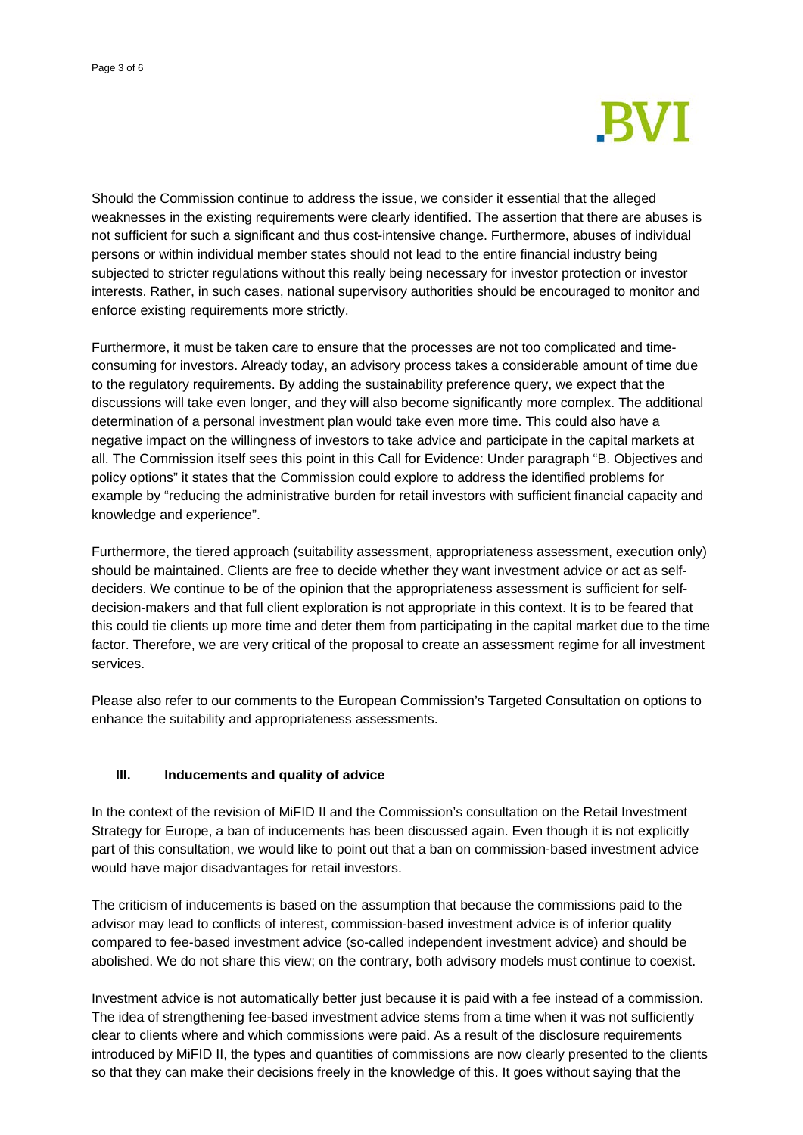

Should the Commission continue to address the issue, we consider it essential that the alleged weaknesses in the existing requirements were clearly identified. The assertion that there are abuses is not sufficient for such a significant and thus cost-intensive change. Furthermore, abuses of individual persons or within individual member states should not lead to the entire financial industry being subjected to stricter regulations without this really being necessary for investor protection or investor interests. Rather, in such cases, national supervisory authorities should be encouraged to monitor and enforce existing requirements more strictly.

Furthermore, it must be taken care to ensure that the processes are not too complicated and timeconsuming for investors. Already today, an advisory process takes a considerable amount of time due to the regulatory requirements. By adding the sustainability preference query, we expect that the discussions will take even longer, and they will also become significantly more complex. The additional determination of a personal investment plan would take even more time. This could also have a negative impact on the willingness of investors to take advice and participate in the capital markets at all. The Commission itself sees this point in this Call for Evidence: Under paragraph "B. Objectives and policy options" it states that the Commission could explore to address the identified problems for example by "reducing the administrative burden for retail investors with sufficient financial capacity and knowledge and experience".

Furthermore, the tiered approach (suitability assessment, appropriateness assessment, execution only) should be maintained. Clients are free to decide whether they want investment advice or act as selfdeciders. We continue to be of the opinion that the appropriateness assessment is sufficient for selfdecision-makers and that full client exploration is not appropriate in this context. It is to be feared that this could tie clients up more time and deter them from participating in the capital market due to the time factor. Therefore, we are very critical of the proposal to create an assessment regime for all investment services.

Please also refer to our comments to the European Commission's Targeted Consultation on options to enhance the suitability and appropriateness assessments.

## **III. Inducements and quality of advice**

In the context of the revision of MiFID II and the Commission's consultation on the Retail Investment Strategy for Europe, a ban of inducements has been discussed again. Even though it is not explicitly part of this consultation, we would like to point out that a ban on commission-based investment advice would have major disadvantages for retail investors.

The criticism of inducements is based on the assumption that because the commissions paid to the advisor may lead to conflicts of interest, commission-based investment advice is of inferior quality compared to fee-based investment advice (so-called independent investment advice) and should be abolished. We do not share this view; on the contrary, both advisory models must continue to coexist.

Investment advice is not automatically better just because it is paid with a fee instead of a commission. The idea of strengthening fee-based investment advice stems from a time when it was not sufficiently clear to clients where and which commissions were paid. As a result of the disclosure requirements introduced by MiFID II, the types and quantities of commissions are now clearly presented to the clients so that they can make their decisions freely in the knowledge of this. It goes without saying that the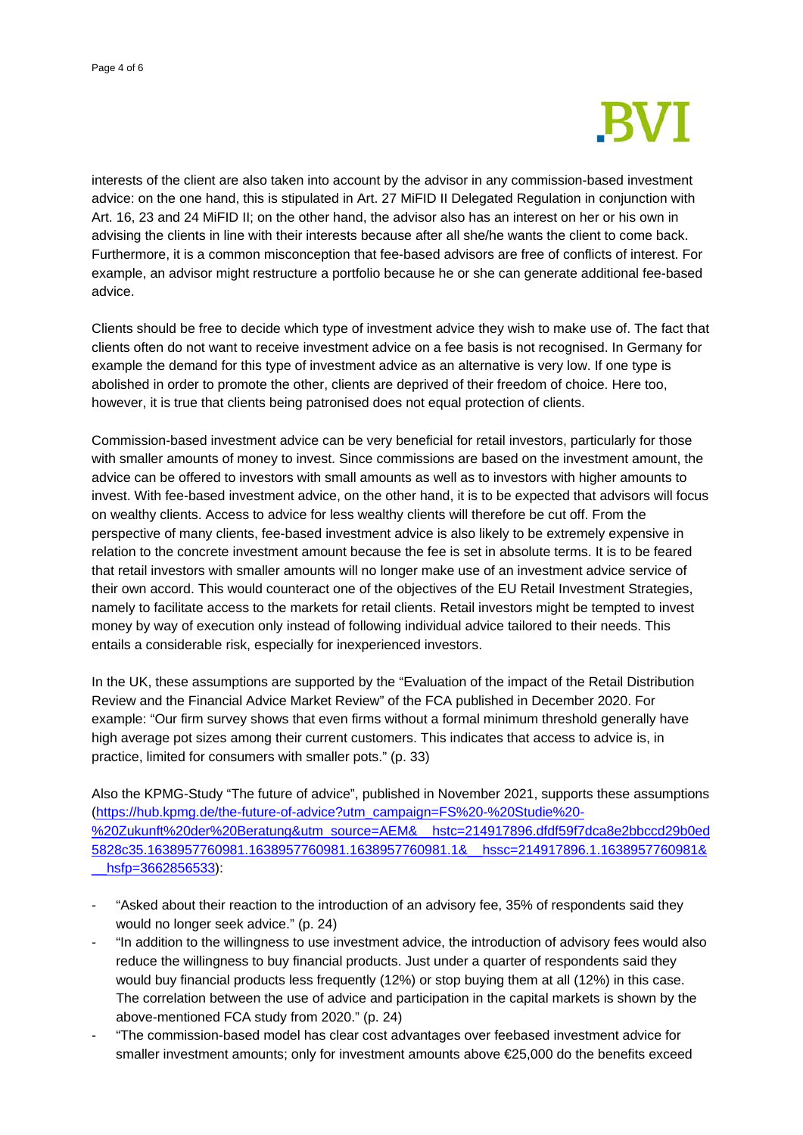

interests of the client are also taken into account by the advisor in any commission-based investment advice: on the one hand, this is stipulated in Art. 27 MiFID II Delegated Regulation in conjunction with Art. 16, 23 and 24 MiFID II; on the other hand, the advisor also has an interest on her or his own in advising the clients in line with their interests because after all she/he wants the client to come back. Furthermore, it is a common misconception that fee-based advisors are free of conflicts of interest. For example, an advisor might restructure a portfolio because he or she can generate additional fee-based advice.

Clients should be free to decide which type of investment advice they wish to make use of. The fact that clients often do not want to receive investment advice on a fee basis is not recognised. In Germany for example the demand for this type of investment advice as an alternative is very low. If one type is abolished in order to promote the other, clients are deprived of their freedom of choice. Here too, however, it is true that clients being patronised does not equal protection of clients.

Commission-based investment advice can be very beneficial for retail investors, particularly for those with smaller amounts of money to invest. Since commissions are based on the investment amount, the advice can be offered to investors with small amounts as well as to investors with higher amounts to invest. With fee-based investment advice, on the other hand, it is to be expected that advisors will focus on wealthy clients. Access to advice for less wealthy clients will therefore be cut off. From the perspective of many clients, fee-based investment advice is also likely to be extremely expensive in relation to the concrete investment amount because the fee is set in absolute terms. It is to be feared that retail investors with smaller amounts will no longer make use of an investment advice service of their own accord. This would counteract one of the objectives of the EU Retail Investment Strategies, namely to facilitate access to the markets for retail clients. Retail investors might be tempted to invest money by way of execution only instead of following individual advice tailored to their needs. This entails a considerable risk, especially for inexperienced investors.

In the UK, these assumptions are supported by the "Evaluation of the impact of the Retail Distribution Review and the Financial Advice Market Review" of the FCA published in December 2020. For example: "Our firm survey shows that even firms without a formal minimum threshold generally have high average pot sizes among their current customers. This indicates that access to advice is, in practice, limited for consumers with smaller pots." (p. 33)

Also the KPMG-Study "The future of advice", published in November 2021, supports these assumptions [\(https://hub.kpmg.de/the-future-of-advice?utm\\_campaign=FS%20-%20Studie%20-](https://hub.kpmg.de/the-future-of-advice?utm_campaign=FS%20-%20Studie%20-%20Zukunft%20der%20Beratung&utm_source=AEM&__hstc=214917896.dfdf59f7dca8e2bbccd29b0ed5828c35.1638957760981.1638957760981.1638957760981.1&__hssc=214917896.1.1638957760981&__hsfp=3662856533) [%20Zukunft%20der%20Beratung&utm\\_source=AEM&\\_\\_hstc=214917896.dfdf59f7dca8e2bbccd29b0ed](https://hub.kpmg.de/the-future-of-advice?utm_campaign=FS%20-%20Studie%20-%20Zukunft%20der%20Beratung&utm_source=AEM&__hstc=214917896.dfdf59f7dca8e2bbccd29b0ed5828c35.1638957760981.1638957760981.1638957760981.1&__hssc=214917896.1.1638957760981&__hsfp=3662856533) [5828c35.1638957760981.1638957760981.1638957760981.1&\\_\\_hssc=214917896.1.1638957760981&](https://hub.kpmg.de/the-future-of-advice?utm_campaign=FS%20-%20Studie%20-%20Zukunft%20der%20Beratung&utm_source=AEM&__hstc=214917896.dfdf59f7dca8e2bbccd29b0ed5828c35.1638957760981.1638957760981.1638957760981.1&__hssc=214917896.1.1638957760981&__hsfp=3662856533) hsfp=3662856533):

- "Asked about their reaction to the introduction of an advisory fee, 35% of respondents said they would no longer seek advice." (p. 24)
- "In addition to the willingness to use investment advice, the introduction of advisory fees would also reduce the willingness to buy financial products. Just under a quarter of respondents said they would buy financial products less frequently (12%) or stop buying them at all (12%) in this case. The correlation between the use of advice and participation in the capital markets is shown by the above-mentioned FCA study from 2020." (p. 24)
- "The commission-based model has clear cost advantages over feebased investment advice for smaller investment amounts; only for investment amounts above €25,000 do the benefits exceed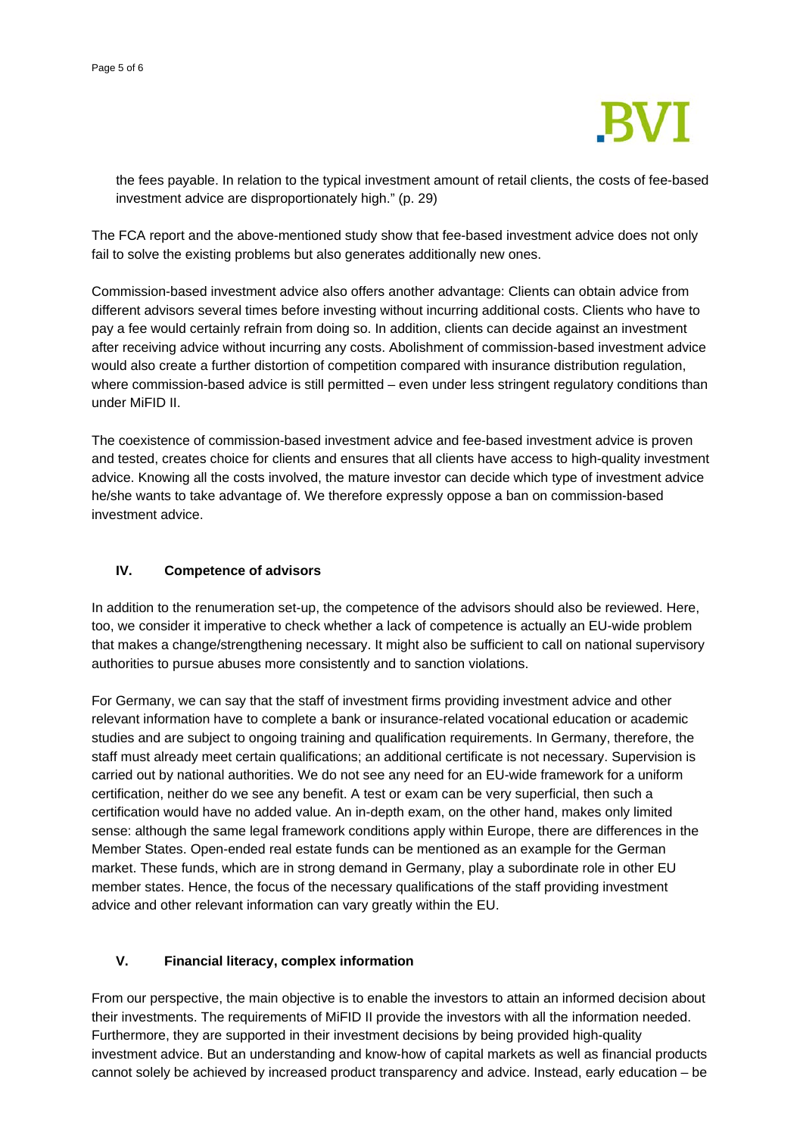

the fees payable. In relation to the typical investment amount of retail clients, the costs of fee-based investment advice are disproportionately high." (p. 29)

The FCA report and the above-mentioned study show that fee-based investment advice does not only fail to solve the existing problems but also generates additionally new ones.

Commission-based investment advice also offers another advantage: Clients can obtain advice from different advisors several times before investing without incurring additional costs. Clients who have to pay a fee would certainly refrain from doing so. In addition, clients can decide against an investment after receiving advice without incurring any costs. Abolishment of commission-based investment advice would also create a further distortion of competition compared with insurance distribution regulation, where commission-based advice is still permitted – even under less stringent regulatory conditions than under MiFID II.

The coexistence of commission-based investment advice and fee-based investment advice is proven and tested, creates choice for clients and ensures that all clients have access to high-quality investment advice. Knowing all the costs involved, the mature investor can decide which type of investment advice he/she wants to take advantage of. We therefore expressly oppose a ban on commission-based investment advice.

## **IV. Competence of advisors**

In addition to the renumeration set-up, the competence of the advisors should also be reviewed. Here, too, we consider it imperative to check whether a lack of competence is actually an EU-wide problem that makes a change/strengthening necessary. It might also be sufficient to call on national supervisory authorities to pursue abuses more consistently and to sanction violations.

For Germany, we can say that the staff of investment firms providing investment advice and other relevant information have to complete a bank or insurance-related vocational education or academic studies and are subject to ongoing training and qualification requirements. In Germany, therefore, the staff must already meet certain qualifications; an additional certificate is not necessary. Supervision is carried out by national authorities. We do not see any need for an EU-wide framework for a uniform certification, neither do we see any benefit. A test or exam can be very superficial, then such a certification would have no added value. An in-depth exam, on the other hand, makes only limited sense: although the same legal framework conditions apply within Europe, there are differences in the Member States. Open-ended real estate funds can be mentioned as an example for the German market. These funds, which are in strong demand in Germany, play a subordinate role in other EU member states. Hence, the focus of the necessary qualifications of the staff providing investment advice and other relevant information can vary greatly within the EU.

## **V. Financial literacy, complex information**

From our perspective, the main objective is to enable the investors to attain an informed decision about their investments. The requirements of MiFID II provide the investors with all the information needed. Furthermore, they are supported in their investment decisions by being provided high-quality investment advice. But an understanding and know-how of capital markets as well as financial products cannot solely be achieved by increased product transparency and advice. Instead, early education – be